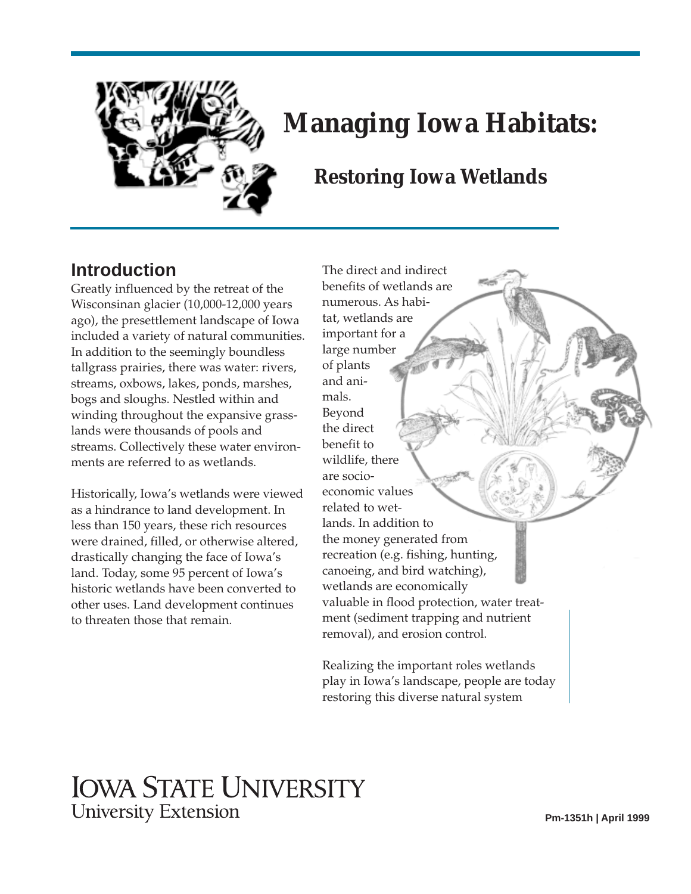

# **Managing Iowa Habitats:**

# **Restoring Iowa Wetlands**

# **Introduction**

Greatly influenced by the retreat of the Wisconsinan glacier (10,000-12,000 years ago), the presettlement landscape of Iowa included a variety of natural communities. In addition to the seemingly boundless tallgrass prairies, there was water: rivers, streams, oxbows, lakes, ponds, marshes, bogs and sloughs. Nestled within and winding throughout the expansive grasslands were thousands of pools and streams. Collectively these water environments are referred to as wetlands.

Historically, Iowa's wetlands were viewed as a hindrance to land development. In less than 150 years, these rich resources were drained, filled, or otherwise altered, drastically changing the face of Iowa's land. Today, some 95 percent of Iowa's historic wetlands have been converted to other uses. Land development continues to threaten those that remain.

The direct and indirect benefits of wetlands are numerous. As habitat, wetlands are important for a large number of plants and animals. Beyond the direct benefit to wildlife, there are socioeconomic values related to wetlands. In addition to the money generated from recreation (e.g. fishing, hunting, canoeing, and bird watching), wetlands are economically valuable in flood protection, water treatment (sediment trapping and nutrient removal), and erosion control.

Realizing the important roles wetlands play in Iowa's landscape, people are today restoring this diverse natural system

# **IOWA STATE UNIVERSITY University Extension**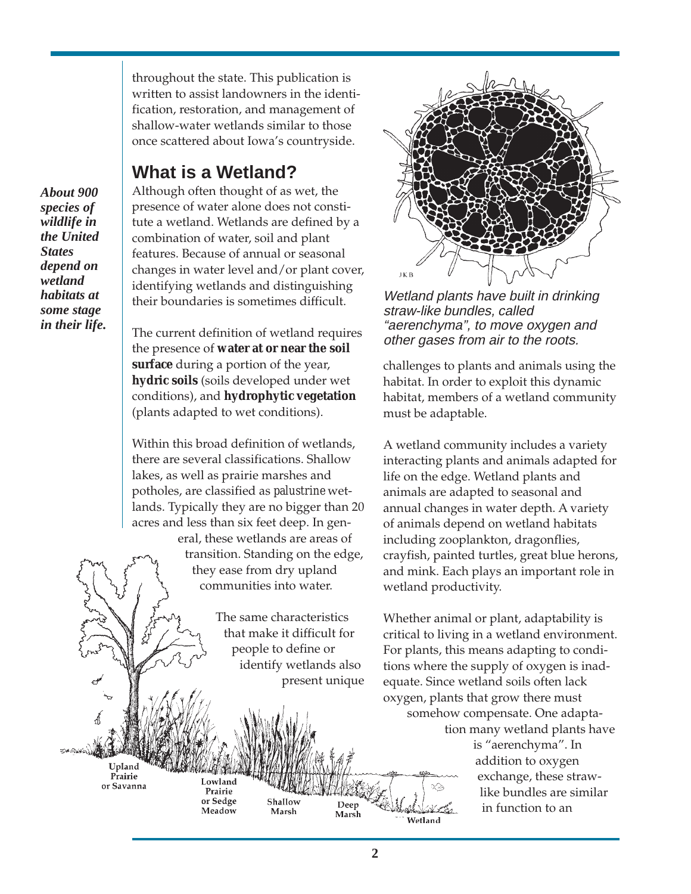throughout the state. This publication is written to assist landowners in the identification, restoration, and management of shallow-water wetlands similar to those once scattered about Iowa's countryside.

# **What is a Wetland?**

*About 900 species of wildlife in the United States depend on wetland habitats at some stage in their life.*

Although often thought of as wet, the presence of water alone does not constitute a wetland. Wetlands are defined by a combination of water, soil and plant features. Because of annual or seasonal changes in water level and/or plant cover, identifying wetlands and distinguishing their boundaries is sometimes difficult.

The current definition of wetland requires the presence of **water at or near the soil surface** during a portion of the year, **hydric soils** (soils developed under wet conditions), and **hydrophytic vegetation** (plants adapted to wet conditions).

Within this broad definition of wetlands, there are several classifications. Shallow lakes, as well as prairie marshes and potholes, are classified as *palustrine* wetlands. Typically they are no bigger than 20 acres and less than six feet deep. In gen-

> eral, these wetlands are areas of transition. Standing on the edge, they ease from dry upland communities into water.

> > The same characteristics that make it difficult for people to define or identify wetlands also present unique

> > > Shallow

Marsh



Wetland plants have built in drinking straw-like bundles, called "aerenchyma", to move oxygen and other gases from air to the roots.

challenges to plants and animals using the habitat. In order to exploit this dynamic habitat, members of a wetland community must be adaptable.

A wetland community includes a variety interacting plants and animals adapted for life on the edge. Wetland plants and animals are adapted to seasonal and annual changes in water depth. A variety of animals depend on wetland habitats including zooplankton, dragonflies, crayfish, painted turtles, great blue herons, and mink. Each plays an important role in wetland productivity.

Whether animal or plant, adaptability is critical to living in a wetland environment. For plants, this means adapting to conditions where the supply of oxygen is inadequate. Since wetland soils often lack oxygen, plants that grow there must somehow compensate. One adaptation many wetland plants have

is "aerenchyma". In addition to oxygen exchange, these strawlike bundles are similar in function to an

Upland Prairie or Savanna

Lowland Prairie or Sedge Meadow

Wetland

Deep

Marsh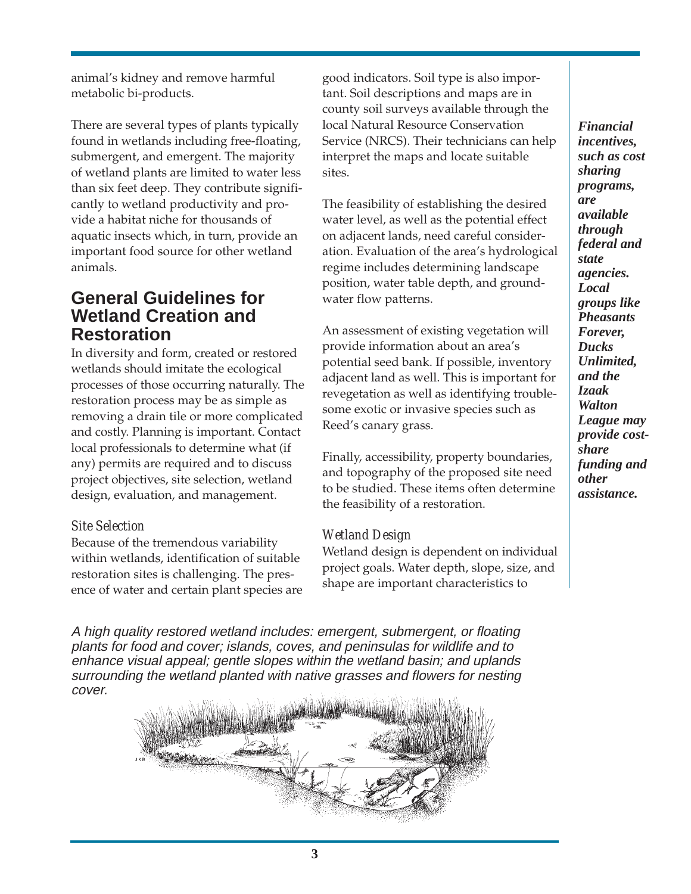animal's kidney and remove harmful metabolic bi-products.

There are several types of plants typically found in wetlands including free-floating, submergent, and emergent. The majority of wetland plants are limited to water less than six feet deep. They contribute significantly to wetland productivity and provide a habitat niche for thousands of aquatic insects which, in turn, provide an important food source for other wetland animals.

### **General Guidelines for Wetland Creation and Restoration**

In diversity and form, created or restored wetlands should imitate the ecological processes of those occurring naturally. The restoration process may be as simple as removing a drain tile or more complicated and costly. Planning is important. Contact local professionals to determine what (if any) permits are required and to discuss project objectives, site selection, wetland design, evaluation, and management.

#### *Site Selection*

Because of the tremendous variability within wetlands, identification of suitable restoration sites is challenging. The presence of water and certain plant species are good indicators. Soil type is also important. Soil descriptions and maps are in county soil surveys available through the local Natural Resource Conservation Service (NRCS). Their technicians can help interpret the maps and locate suitable sites.

The feasibility of establishing the desired water level, as well as the potential effect on adjacent lands, need careful consideration. Evaluation of the area's hydrological regime includes determining landscape position, water table depth, and groundwater flow patterns.

An assessment of existing vegetation will provide information about an area's potential seed bank. If possible, inventory adjacent land as well. This is important for revegetation as well as identifying troublesome exotic or invasive species such as Reed's canary grass.

Finally, accessibility, property boundaries, and topography of the proposed site need to be studied. These items often determine the feasibility of a restoration.

#### *Wetland Design*

Wetland design is dependent on individual project goals. Water depth, slope, size, and shape are important characteristics to

A high quality restored wetland includes: emergent, submergent, or floating plants for food and cover; islands, coves, and peninsulas for wildlife and to enhance visual appeal; gentle slopes within the wetland basin; and uplands surrounding the wetland planted with native grasses and flowers for nesting cover.



*Financial incentives, such as cost sharing programs, are available through federal and state agencies. Local groups like Pheasants Forever, Ducks Unlimited, and the Izaak Walton League may provide costshare funding and other assistance.*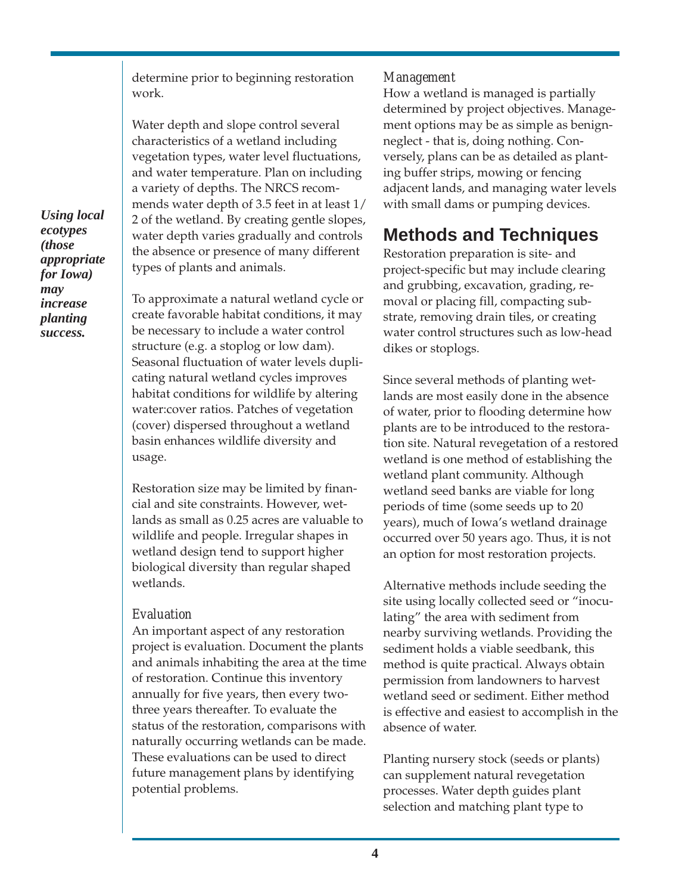determine prior to beginning restoration work.

Water depth and slope control several characteristics of a wetland including vegetation types, water level fluctuations, and water temperature. Plan on including a variety of depths. The NRCS recommends water depth of 3.5 feet in at least 1/ 2 of the wetland. By creating gentle slopes, water depth varies gradually and controls the absence or presence of many different types of plants and animals.

To approximate a natural wetland cycle or create favorable habitat conditions, it may be necessary to include a water control structure (e.g. a stoplog or low dam). Seasonal fluctuation of water levels duplicating natural wetland cycles improves habitat conditions for wildlife by altering water:cover ratios. Patches of vegetation (cover) dispersed throughout a wetland basin enhances wildlife diversity and usage.

Restoration size may be limited by financial and site constraints. However, wetlands as small as 0.25 acres are valuable to wildlife and people. Irregular shapes in wetland design tend to support higher biological diversity than regular shaped wetlands.

#### *Evaluation*

An important aspect of any restoration project is evaluation. Document the plants and animals inhabiting the area at the time of restoration. Continue this inventory annually for five years, then every twothree years thereafter. To evaluate the status of the restoration, comparisons with naturally occurring wetlands can be made. These evaluations can be used to direct future management plans by identifying potential problems.

#### *Management*

How a wetland is managed is partially determined by project objectives. Management options may be as simple as benignneglect - that is, doing nothing. Conversely, plans can be as detailed as planting buffer strips, mowing or fencing adjacent lands, and managing water levels with small dams or pumping devices.

# **Methods and Techniques**

Restoration preparation is site- and project-specific but may include clearing and grubbing, excavation, grading, removal or placing fill, compacting substrate, removing drain tiles, or creating water control structures such as low-head dikes or stoplogs.

Since several methods of planting wetlands are most easily done in the absence of water, prior to flooding determine how plants are to be introduced to the restoration site. Natural revegetation of a restored wetland is one method of establishing the wetland plant community. Although wetland seed banks are viable for long periods of time (some seeds up to 20 years), much of Iowa's wetland drainage occurred over 50 years ago. Thus, it is not an option for most restoration projects.

Alternative methods include seeding the site using locally collected seed or "inoculating" the area with sediment from nearby surviving wetlands. Providing the sediment holds a viable seedbank, this method is quite practical. Always obtain permission from landowners to harvest wetland seed or sediment. Either method is effective and easiest to accomplish in the absence of water.

Planting nursery stock (seeds or plants) can supplement natural revegetation processes. Water depth guides plant selection and matching plant type to

*Using local ecotypes (those appropriate for Iowa) may increase planting success.*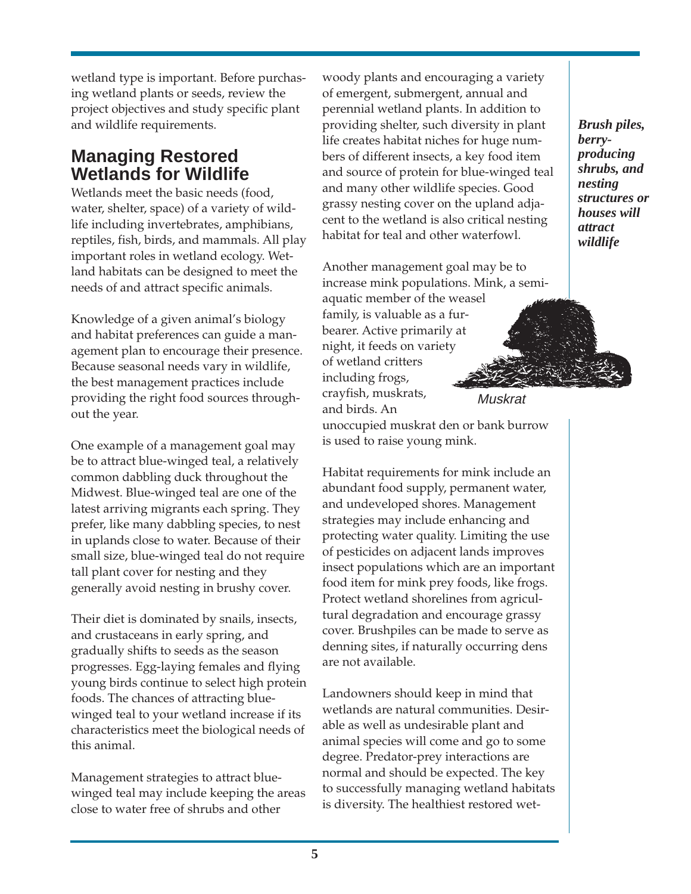wetland type is important. Before purchasing wetland plants or seeds, review the project objectives and study specific plant and wildlife requirements.

# **Managing Restored Wetlands for Wildlife**

Wetlands meet the basic needs (food, water, shelter, space) of a variety of wildlife including invertebrates, amphibians, reptiles, fish, birds, and mammals. All play important roles in wetland ecology. Wetland habitats can be designed to meet the needs of and attract specific animals.

Knowledge of a given animal's biology and habitat preferences can guide a management plan to encourage their presence. Because seasonal needs vary in wildlife, the best management practices include providing the right food sources throughout the year.

One example of a management goal may be to attract blue-winged teal, a relatively common dabbling duck throughout the Midwest. Blue-winged teal are one of the latest arriving migrants each spring. They prefer, like many dabbling species, to nest in uplands close to water. Because of their small size, blue-winged teal do not require tall plant cover for nesting and they generally avoid nesting in brushy cover.

Their diet is dominated by snails, insects, and crustaceans in early spring, and gradually shifts to seeds as the season progresses. Egg-laying females and flying young birds continue to select high protein foods. The chances of attracting bluewinged teal to your wetland increase if its characteristics meet the biological needs of this animal.

Management strategies to attract bluewinged teal may include keeping the areas close to water free of shrubs and other

woody plants and encouraging a variety of emergent, submergent, annual and perennial wetland plants. In addition to providing shelter, such diversity in plant life creates habitat niches for huge numbers of different insects, a key food item and source of protein for blue-winged teal and many other wildlife species. Good grassy nesting cover on the upland adjacent to the wetland is also critical nesting habitat for teal and other waterfowl.

*Brush piles, berryproducing shrubs, and nesting structures or houses will attract wildlife*

Another management goal may be to increase mink populations. Mink, a semi-

aquatic member of the weasel family, is valuable as a furbearer. Active primarily at night, it feeds on variety of wetland critters including frogs, crayfish, muskrats, and birds. An unoccupied muskrat den or bank burrow Muskrat

is used to raise young mink.

Habitat requirements for mink include an abundant food supply, permanent water, and undeveloped shores. Management strategies may include enhancing and protecting water quality. Limiting the use of pesticides on adjacent lands improves insect populations which are an important food item for mink prey foods, like frogs. Protect wetland shorelines from agricultural degradation and encourage grassy cover. Brushpiles can be made to serve as denning sites, if naturally occurring dens are not available.

Landowners should keep in mind that wetlands are natural communities. Desirable as well as undesirable plant and animal species will come and go to some degree. Predator-prey interactions are normal and should be expected. The key to successfully managing wetland habitats is diversity. The healthiest restored wet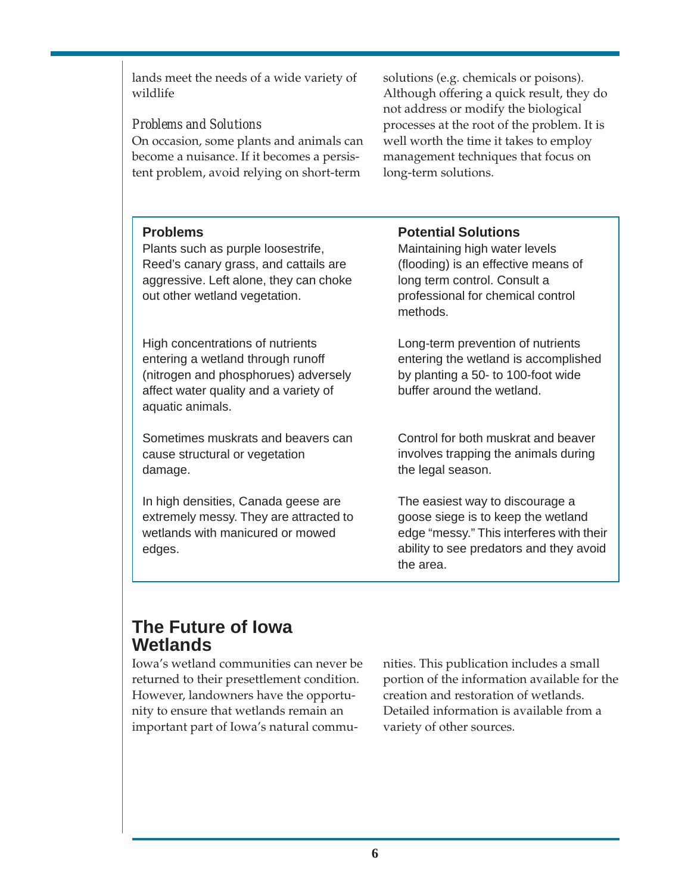lands meet the needs of a wide variety of wildlife

#### *Problems and Solutions*

On occasion, some plants and animals can become a nuisance. If it becomes a persistent problem, avoid relying on short-term

solutions (e.g. chemicals or poisons). Although offering a quick result, they do not address or modify the biological processes at the root of the problem. It is well worth the time it takes to employ management techniques that focus on long-term solutions.

#### **Problems**

Plants such as purple loosestrife, Reed's canary grass, and cattails are aggressive. Left alone, they can choke out other wetland vegetation.

High concentrations of nutrients entering a wetland through runoff (nitrogen and phosphorues) adversely affect water quality and a variety of aquatic animals.

Sometimes muskrats and beavers can cause structural or vegetation damage.

In high densities, Canada geese are extremely messy. They are attracted to wetlands with manicured or mowed edges.

#### **Potential Solutions**

Maintaining high water levels (flooding) is an effective means of long term control. Consult a professional for chemical control methods.

Long-term prevention of nutrients entering the wetland is accomplished by planting a 50- to 100-foot wide buffer around the wetland.

Control for both muskrat and beaver involves trapping the animals during the legal season.

The easiest way to discourage a goose siege is to keep the wetland edge "messy." This interferes with their ability to see predators and they avoid the area.

# **The Future of Iowa Wetlands**

Iowa's wetland communities can never be returned to their presettlement condition. However, landowners have the opportunity to ensure that wetlands remain an important part of Iowa's natural communities. This publication includes a small portion of the information available for the creation and restoration of wetlands. Detailed information is available from a variety of other sources.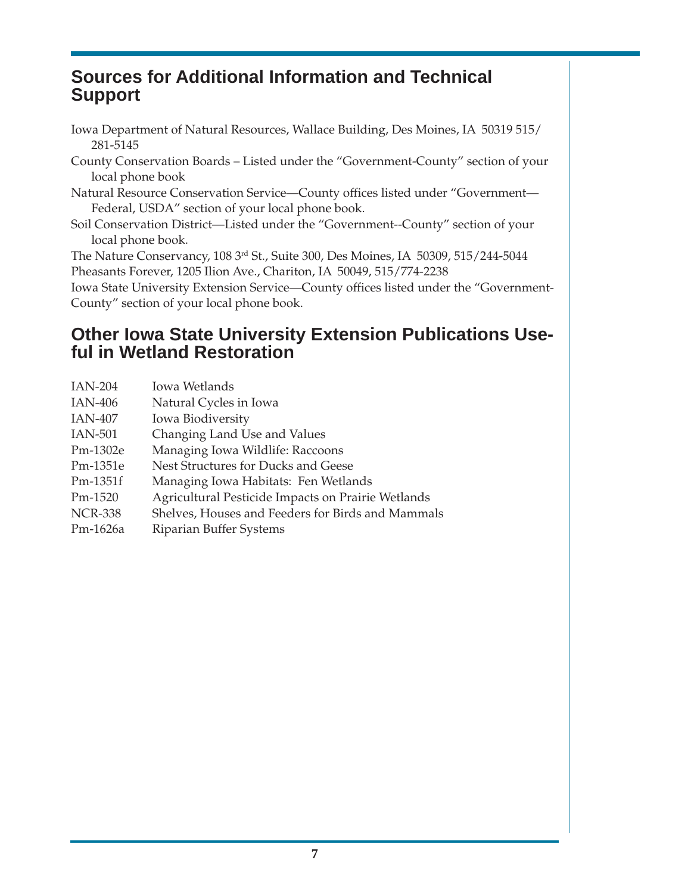# **Sources for Additional Information and Technical Support**

- Iowa Department of Natural Resources, Wallace Building, Des Moines, IA 50319 515/ 281-5145
- County Conservation Boards Listed under the "Government-County" section of your local phone book
- Natural Resource Conservation Service—County offices listed under "Government— Federal, USDA" section of your local phone book.
- Soil Conservation District—Listed under the "Government--County" section of your local phone book.

The Nature Conservancy, 108 3rd St., Suite 300, Des Moines, IA 50309, 515/244-5044 Pheasants Forever, 1205 Ilion Ave., Chariton, IA 50049, 515/774-2238

Iowa State University Extension Service—County offices listed under the "Government-County" section of your local phone book.

# **Other Iowa State University Extension Publications Useful in Wetland Restoration**

- IAN-204 Iowa Wetlands
- IAN-406 Natural Cycles in Iowa
- IAN-407 Iowa Biodiversity
- IAN-501 Changing Land Use and Values
- Pm-1302e Managing Iowa Wildlife: Raccoons
- Pm-1351e Nest Structures for Ducks and Geese
- Pm-1351f Managing Iowa Habitats: Fen Wetlands
- Pm-1520 Agricultural Pesticide Impacts on Prairie Wetlands
- NCR-338 Shelves, Houses and Feeders for Birds and Mammals
- Pm-1626a Riparian Buffer Systems